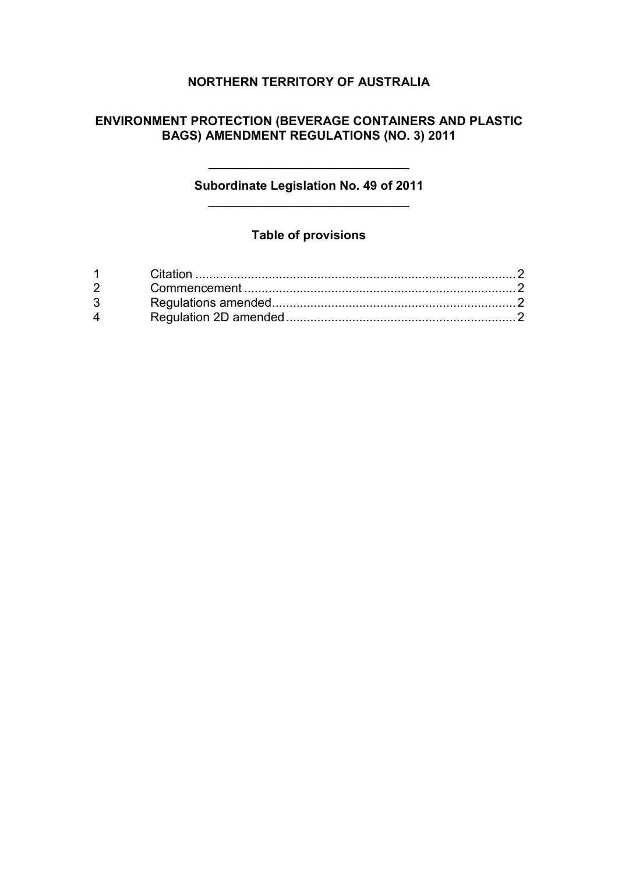# **NORTHERN TERRITORY OF AUSTRALIA**

## **ENVIRONMENT PROTECTION (BEVERAGE CONTAINERS AND PLASTIC BAGS) AMENDMENT REGULATIONS (NO. 3) 2011**

## **Subordinate Legislation No. 49 of 2011** \_\_\_\_\_\_\_\_\_\_\_\_\_\_\_\_\_\_\_\_\_\_\_\_\_\_\_\_\_

\_\_\_\_\_\_\_\_\_\_\_\_\_\_\_\_\_\_\_\_\_\_\_\_\_\_\_\_\_

## **Table of provisions**

| $1 \quad \Box$     |  |
|--------------------|--|
|                    |  |
|                    |  |
| $\mathbf{\Lambda}$ |  |
|                    |  |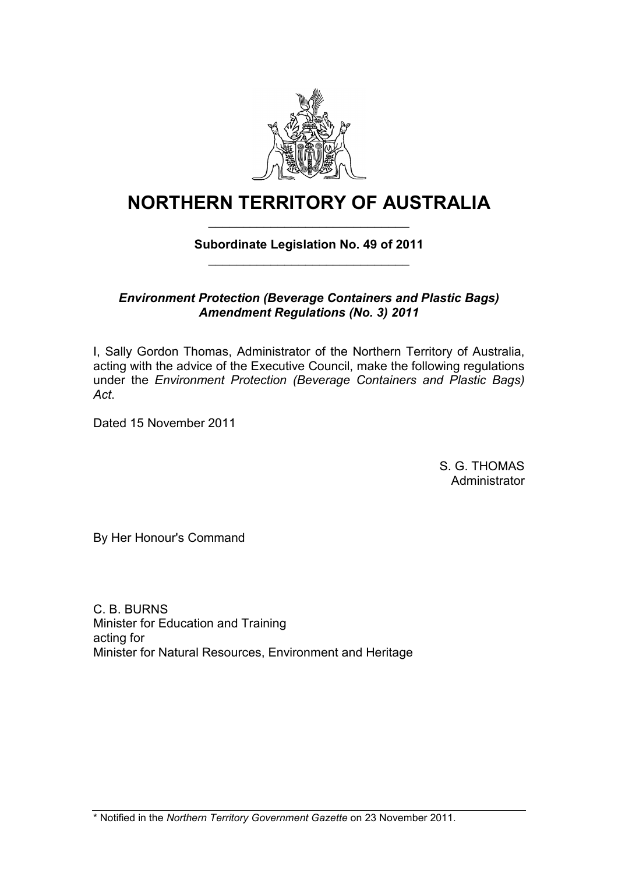

# **NORTHERN TERRITORY OF AUSTRALIA** \_\_\_\_\_\_\_\_\_\_\_\_\_\_\_\_\_\_\_\_\_\_\_\_\_\_\_\_\_

## **Subordinate Legislation No. 49 of 2011** \_\_\_\_\_\_\_\_\_\_\_\_\_\_\_\_\_\_\_\_\_\_\_\_\_\_\_\_\_

## *Environment Protection (Beverage Containers and Plastic Bags) Amendment Regulations (No. 3) 2011*

I, Sally Gordon Thomas, Administrator of the Northern Territory of Australia, acting with the advice of the Executive Council, make the following regulations under the *Environment Protection (Beverage Containers and Plastic Bags) Act*.

Dated 15 November 2011

S. G. THOMAS **Administrator** 

By Her Honour's Command

C. B. BURNS Minister for Education and Training acting for Minister for Natural Resources, Environment and Heritage

\* Notified in the *Northern Territory Government Gazette* on 23 November 2011.